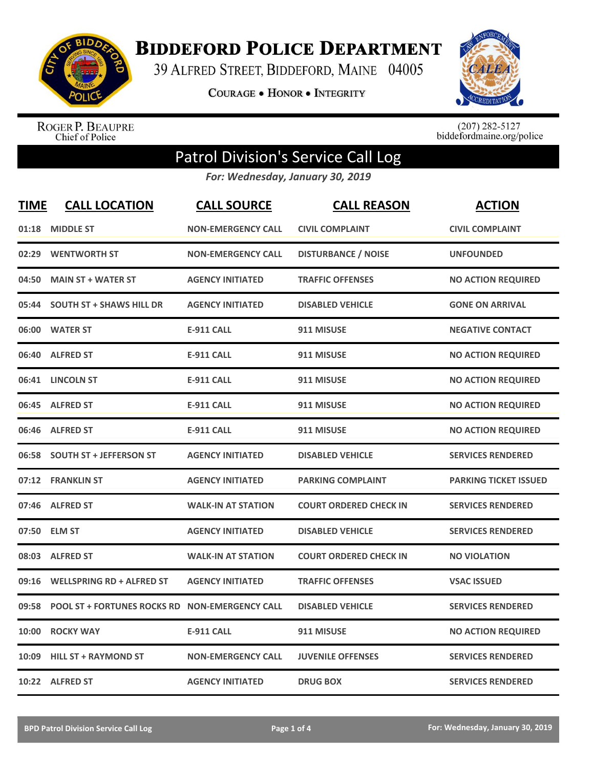

**BIDDEFORD POLICE DEPARTMENT** 

39 ALFRED STREET, BIDDEFORD, MAINE 04005

**COURAGE . HONOR . INTEGRITY** 



ROGER P. BEAUPRE<br>Chief of Police

 $(207)$  282-5127<br>biddefordmaine.org/police

## Patrol Division's Service Call Log

*For: Wednesday, January 30, 2019*

| <b>TIME</b> | <b>CALL LOCATION</b>                           | <b>CALL SOURCE</b>        | <b>CALL REASON</b>            | <b>ACTION</b>                |
|-------------|------------------------------------------------|---------------------------|-------------------------------|------------------------------|
| 01:18       | <b>MIDDLE ST</b>                               | <b>NON-EMERGENCY CALL</b> | <b>CIVIL COMPLAINT</b>        | <b>CIVIL COMPLAINT</b>       |
| 02:29       | <b>WENTWORTH ST</b>                            | <b>NON-EMERGENCY CALL</b> | <b>DISTURBANCE / NOISE</b>    | <b>UNFOUNDED</b>             |
| 04:50       | <b>MAIN ST + WATER ST</b>                      | <b>AGENCY INITIATED</b>   | <b>TRAFFIC OFFENSES</b>       | <b>NO ACTION REQUIRED</b>    |
| 05:44       | <b>SOUTH ST + SHAWS HILL DR</b>                | <b>AGENCY INITIATED</b>   | <b>DISABLED VEHICLE</b>       | <b>GONE ON ARRIVAL</b>       |
|             | 06:00 WATER ST                                 | <b>E-911 CALL</b>         | 911 MISUSE                    | <b>NEGATIVE CONTACT</b>      |
| 06:40       | <b>ALFRED ST</b>                               | <b>E-911 CALL</b>         | 911 MISUSE                    | <b>NO ACTION REQUIRED</b>    |
|             | 06:41 LINCOLN ST                               | <b>E-911 CALL</b>         | 911 MISUSE                    | <b>NO ACTION REQUIRED</b>    |
|             | 06:45 ALFRED ST                                | <b>E-911 CALL</b>         | 911 MISUSE                    | <b>NO ACTION REQUIRED</b>    |
| 06:46       | <b>ALFRED ST</b>                               | <b>E-911 CALL</b>         | 911 MISUSE                    | <b>NO ACTION REQUIRED</b>    |
|             | 06:58 SOUTH ST + JEFFERSON ST                  | <b>AGENCY INITIATED</b>   | <b>DISABLED VEHICLE</b>       | <b>SERVICES RENDERED</b>     |
|             | 07:12 FRANKLIN ST                              | <b>AGENCY INITIATED</b>   | <b>PARKING COMPLAINT</b>      | <b>PARKING TICKET ISSUED</b> |
| 07:46       | <b>ALFRED ST</b>                               | <b>WALK-IN AT STATION</b> | <b>COURT ORDERED CHECK IN</b> | <b>SERVICES RENDERED</b>     |
| 07:50       | <b>ELM ST</b>                                  | <b>AGENCY INITIATED</b>   | <b>DISABLED VEHICLE</b>       | <b>SERVICES RENDERED</b>     |
| 08:03       | <b>ALFRED ST</b>                               | <b>WALK-IN AT STATION</b> | <b>COURT ORDERED CHECK IN</b> | <b>NO VIOLATION</b>          |
| 09:16       | <b>WELLSPRING RD + ALFRED ST</b>               | <b>AGENCY INITIATED</b>   | <b>TRAFFIC OFFENSES</b>       | <b>VSAC ISSUED</b>           |
| 09:58       | POOL ST + FORTUNES ROCKS RD NON-EMERGENCY CALL |                           | <b>DISABLED VEHICLE</b>       | <b>SERVICES RENDERED</b>     |
| 10:00       | <b>ROCKY WAY</b>                               | <b>E-911 CALL</b>         | 911 MISUSE                    | <b>NO ACTION REQUIRED</b>    |
| 10:09       | <b>HILL ST + RAYMOND ST</b>                    | <b>NON-EMERGENCY CALL</b> | <b>JUVENILE OFFENSES</b>      | <b>SERVICES RENDERED</b>     |
|             | 10:22 ALFRED ST                                | <b>AGENCY INITIATED</b>   | <b>DRUG BOX</b>               | <b>SERVICES RENDERED</b>     |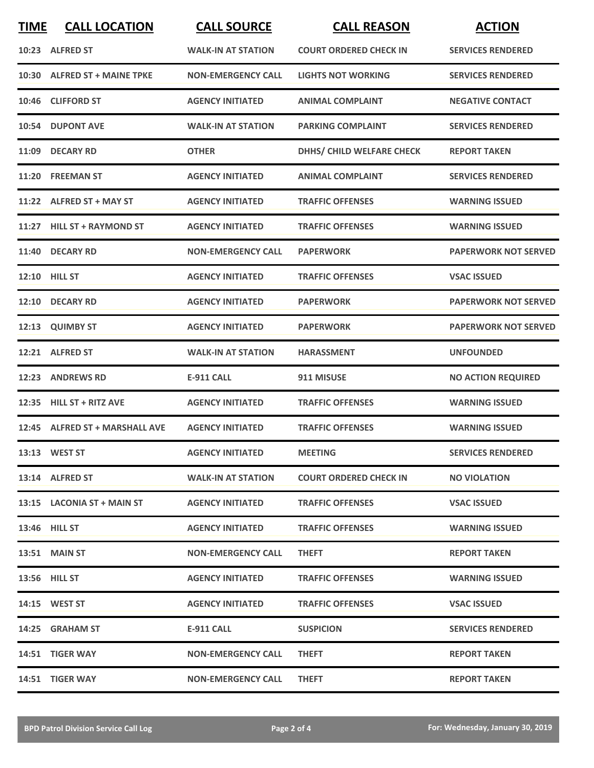| <b>TIME</b> | <b>CALL LOCATION</b>           | <b>CALL SOURCE</b>        | <b>CALL REASON</b>            | <b>ACTION</b>               |
|-------------|--------------------------------|---------------------------|-------------------------------|-----------------------------|
|             | 10:23 ALFRED ST                | <b>WALK-IN AT STATION</b> | <b>COURT ORDERED CHECK IN</b> | <b>SERVICES RENDERED</b>    |
|             | 10:30 ALFRED ST + MAINE TPKE   | <b>NON-EMERGENCY CALL</b> | <b>LIGHTS NOT WORKING</b>     | <b>SERVICES RENDERED</b>    |
|             | 10:46 CLIFFORD ST              | <b>AGENCY INITIATED</b>   | <b>ANIMAL COMPLAINT</b>       | <b>NEGATIVE CONTACT</b>     |
|             | 10:54 DUPONT AVE               | <b>WALK-IN AT STATION</b> | <b>PARKING COMPLAINT</b>      | <b>SERVICES RENDERED</b>    |
|             | 11:09 DECARY RD                | <b>OTHER</b>              | DHHS/ CHILD WELFARE CHECK     | <b>REPORT TAKEN</b>         |
|             | 11:20 FREEMAN ST               | <b>AGENCY INITIATED</b>   | <b>ANIMAL COMPLAINT</b>       | <b>SERVICES RENDERED</b>    |
|             | 11:22 ALFRED ST + MAY ST       | <b>AGENCY INITIATED</b>   | <b>TRAFFIC OFFENSES</b>       | <b>WARNING ISSUED</b>       |
|             | 11:27 HILL ST + RAYMOND ST     | <b>AGENCY INITIATED</b>   | <b>TRAFFIC OFFENSES</b>       | <b>WARNING ISSUED</b>       |
|             | 11:40 DECARY RD                | <b>NON-EMERGENCY CALL</b> | <b>PAPERWORK</b>              | <b>PAPERWORK NOT SERVED</b> |
|             | <b>12:10 HILL ST</b>           | <b>AGENCY INITIATED</b>   | <b>TRAFFIC OFFENSES</b>       | <b>VSAC ISSUED</b>          |
|             | 12:10 DECARY RD                | <b>AGENCY INITIATED</b>   | <b>PAPERWORK</b>              | <b>PAPERWORK NOT SERVED</b> |
|             | 12:13 QUIMBY ST                | <b>AGENCY INITIATED</b>   | <b>PAPERWORK</b>              | <b>PAPERWORK NOT SERVED</b> |
|             | 12:21 ALFRED ST                | <b>WALK-IN AT STATION</b> | <b>HARASSMENT</b>             | <b>UNFOUNDED</b>            |
|             | 12:23 ANDREWS RD               | <b>E-911 CALL</b>         | 911 MISUSE                    | <b>NO ACTION REQUIRED</b>   |
|             | 12:35 HILL ST + RITZ AVE       | <b>AGENCY INITIATED</b>   | <b>TRAFFIC OFFENSES</b>       | <b>WARNING ISSUED</b>       |
|             | 12:45 ALFRED ST + MARSHALL AVE | <b>AGENCY INITIATED</b>   | <b>TRAFFIC OFFENSES</b>       | <b>WARNING ISSUED</b>       |
|             | 13:13 WEST ST                  | <b>AGENCY INITIATED</b>   | <b>MEETING</b>                | <b>SERVICES RENDERED</b>    |
|             | 13:14 ALFRED ST                | <b>WALK-IN AT STATION</b> | <b>COURT ORDERED CHECK IN</b> | <b>NO VIOLATION</b>         |
|             | 13:15 LACONIA ST + MAIN ST     | <b>AGENCY INITIATED</b>   | <b>TRAFFIC OFFENSES</b>       | <b>VSAC ISSUED</b>          |
|             | <b>13:46 HILL ST</b>           | <b>AGENCY INITIATED</b>   | <b>TRAFFIC OFFENSES</b>       | <b>WARNING ISSUED</b>       |
|             | <b>13:51 MAIN ST</b>           | <b>NON-EMERGENCY CALL</b> | <b>THEFT</b>                  | <b>REPORT TAKEN</b>         |
|             | 13:56 HILL ST                  | <b>AGENCY INITIATED</b>   | <b>TRAFFIC OFFENSES</b>       | <b>WARNING ISSUED</b>       |
|             | <b>14:15 WEST ST</b>           | <b>AGENCY INITIATED</b>   | <b>TRAFFIC OFFENSES</b>       | <b>VSAC ISSUED</b>          |
|             | 14:25 GRAHAM ST                | E-911 CALL                | <b>SUSPICION</b>              | <b>SERVICES RENDERED</b>    |
|             | 14:51 TIGER WAY                | <b>NON-EMERGENCY CALL</b> | <b>THEFT</b>                  | <b>REPORT TAKEN</b>         |
|             | 14:51 TIGER WAY                | <b>NON-EMERGENCY CALL</b> | <b>THEFT</b>                  | <b>REPORT TAKEN</b>         |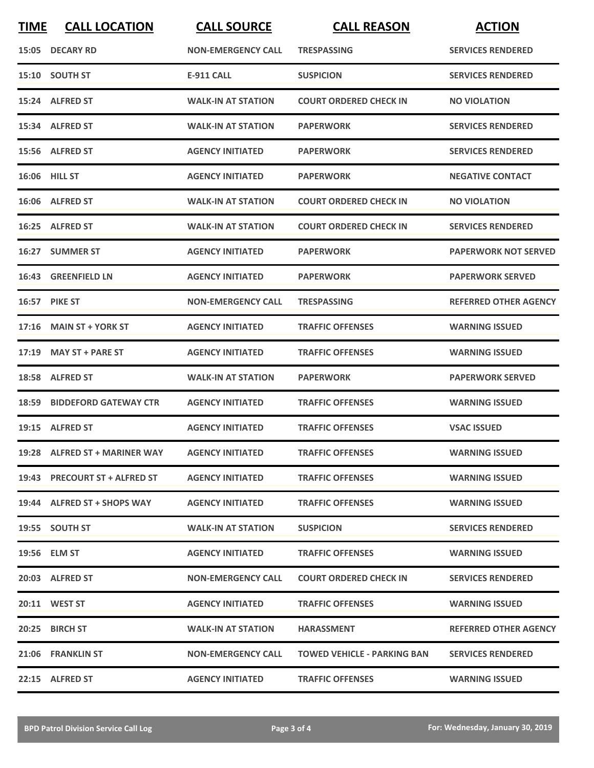| <b>TIME</b> | <b>CALL LOCATION</b>          | <b>CALL SOURCE</b>        | <b>CALL REASON</b>                 | <b>ACTION</b>                |
|-------------|-------------------------------|---------------------------|------------------------------------|------------------------------|
|             | 15:05 DECARY RD               | <b>NON-EMERGENCY CALL</b> | <b>TRESPASSING</b>                 | <b>SERVICES RENDERED</b>     |
|             | 15:10 SOUTH ST                | <b>E-911 CALL</b>         | <b>SUSPICION</b>                   | <b>SERVICES RENDERED</b>     |
|             | 15:24 ALFRED ST               | <b>WALK-IN AT STATION</b> | <b>COURT ORDERED CHECK IN</b>      | <b>NO VIOLATION</b>          |
|             | 15:34 ALFRED ST               | <b>WALK-IN AT STATION</b> | <b>PAPERWORK</b>                   | <b>SERVICES RENDERED</b>     |
|             | 15:56 ALFRED ST               | <b>AGENCY INITIATED</b>   | <b>PAPERWORK</b>                   | <b>SERVICES RENDERED</b>     |
|             | 16:06 HILL ST                 | <b>AGENCY INITIATED</b>   | <b>PAPERWORK</b>                   | <b>NEGATIVE CONTACT</b>      |
|             | 16:06 ALFRED ST               | <b>WALK-IN AT STATION</b> | <b>COURT ORDERED CHECK IN</b>      | <b>NO VIOLATION</b>          |
|             | 16:25 ALFRED ST               | <b>WALK-IN AT STATION</b> | <b>COURT ORDERED CHECK IN</b>      | <b>SERVICES RENDERED</b>     |
|             | 16:27 SUMMER ST               | <b>AGENCY INITIATED</b>   | <b>PAPERWORK</b>                   | <b>PAPERWORK NOT SERVED</b>  |
|             | 16:43 GREENFIELD LN           | <b>AGENCY INITIATED</b>   | <b>PAPERWORK</b>                   | <b>PAPERWORK SERVED</b>      |
|             | 16:57 PIKE ST                 | <b>NON-EMERGENCY CALL</b> | <b>TRESPASSING</b>                 | <b>REFERRED OTHER AGENCY</b> |
| 17:16       | <b>MAIN ST + YORK ST</b>      | <b>AGENCY INITIATED</b>   | <b>TRAFFIC OFFENSES</b>            | <b>WARNING ISSUED</b>        |
| 17:19       | <b>MAY ST + PARE ST</b>       | <b>AGENCY INITIATED</b>   | <b>TRAFFIC OFFENSES</b>            | <b>WARNING ISSUED</b>        |
|             | 18:58 ALFRED ST               | <b>WALK-IN AT STATION</b> | <b>PAPERWORK</b>                   | <b>PAPERWORK SERVED</b>      |
| 18:59       | <b>BIDDEFORD GATEWAY CTR</b>  | <b>AGENCY INITIATED</b>   | <b>TRAFFIC OFFENSES</b>            | <b>WARNING ISSUED</b>        |
|             | 19:15 ALFRED ST               | <b>AGENCY INITIATED</b>   | <b>TRAFFIC OFFENSES</b>            | <b>VSAC ISSUED</b>           |
|             | 19:28 ALFRED ST + MARINER WAY | <b>AGENCY INITIATED</b>   | <b>TRAFFIC OFFENSES</b>            | <b>WARNING ISSUED</b>        |
|             | 19:43 PRECOURT ST + ALFRED ST | <b>AGENCY INITIATED</b>   | <b>TRAFFIC OFFENSES</b>            | <b>WARNING ISSUED</b>        |
|             | 19:44 ALFRED ST + SHOPS WAY   | <b>AGENCY INITIATED</b>   | <b>TRAFFIC OFFENSES</b>            | <b>WARNING ISSUED</b>        |
|             | 19:55 SOUTH ST                | <b>WALK-IN AT STATION</b> | <b>SUSPICION</b>                   | <b>SERVICES RENDERED</b>     |
|             | 19:56 ELM ST                  | <b>AGENCY INITIATED</b>   | <b>TRAFFIC OFFENSES</b>            | <b>WARNING ISSUED</b>        |
|             | 20:03 ALFRED ST               | <b>NON-EMERGENCY CALL</b> | <b>COURT ORDERED CHECK IN</b>      | <b>SERVICES RENDERED</b>     |
|             | 20:11 WEST ST                 | <b>AGENCY INITIATED</b>   | <b>TRAFFIC OFFENSES</b>            | <b>WARNING ISSUED</b>        |
|             | 20:25 BIRCH ST                | <b>WALK-IN AT STATION</b> | <b>HARASSMENT</b>                  | <b>REFERRED OTHER AGENCY</b> |
|             | 21:06 FRANKLIN ST             | <b>NON-EMERGENCY CALL</b> | <b>TOWED VEHICLE - PARKING BAN</b> | <b>SERVICES RENDERED</b>     |
|             | 22:15 ALFRED ST               | <b>AGENCY INITIATED</b>   | <b>TRAFFIC OFFENSES</b>            | <b>WARNING ISSUED</b>        |